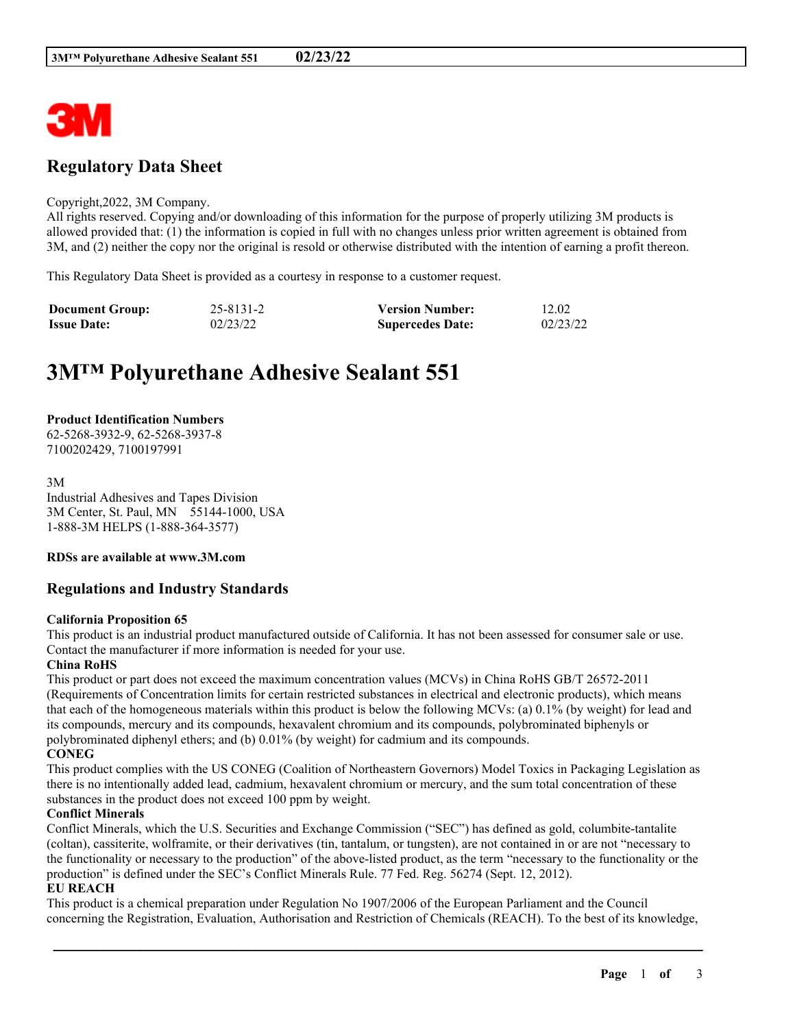

# **Regulatory Data Sheet**

#### Copyright,2022, 3M Company.

All rights reserved. Copying and/or downloading of this information for the purpose of properly utilizing 3M products is allowed provided that: (1) the information is copied in full with no changes unless prior written agreement is obtained from 3M, and (2) neither the copy nor the original is resold or otherwise distributed with the intention of earning a profit thereon.

This Regulatory Data Sheet is provided as a courtesy in response to a customer request.

| <b>Document Group:</b> | $25 - 8131 - 2$ | <b>Version Number:</b>  | 12.02    |
|------------------------|-----------------|-------------------------|----------|
| <b>Issue Date:</b>     | 02/23/22        | <b>Supercedes Date:</b> | 02/23/22 |

# **3M™ Polyurethane Adhesive Sealant 551**

#### **Product Identification Numbers**

62-5268-3932-9, 62-5268-3937-8 7100202429, 7100197991

#### 3M Industrial Adhesives and Tapes Division 3M Center, St. Paul, MN 55144-1000, USA 1-888-3M HELPS (1-888-364-3577)

#### **RDSs are available at www.3M.com**

### **Regulations and Industry Standards**

#### **California Proposition 65**

This product is an industrial product manufactured outside of California. It has not been assessed for consumer sale or use. Contact the manufacturer if more information is needed for your use.

#### **China RoHS**

This product or part does not exceed the maximum concentration values (MCVs) in China RoHS GB/T 26572-2011 (Requirements of Concentration limits for certain restricted substances in electrical and electronic products), which means that each of the homogeneous materials within this product is below the following MCVs: (a) 0.1% (by weight) for lead and its compounds, mercury and its compounds, hexavalent chromium and its compounds, polybrominated biphenyls or polybrominated diphenyl ethers; and (b) 0.01% (by weight) for cadmium and its compounds. **CONEG**

This product complies with the US CONEG (Coalition of Northeastern Governors) Model Toxics in Packaging Legislation as there is no intentionally added lead, cadmium, hexavalent chromium or mercury, and the sum total concentration of these substances in the product does not exceed 100 ppm by weight.

#### **Conflict Minerals**

Conflict Minerals, which the U.S. Securities and Exchange Commission ("SEC") has defined as gold, columbite-tantalite (coltan), cassiterite, wolframite, or their derivatives (tin, tantalum, or tungsten), are not contained in or are not "necessary to the functionality or necessary to the production" of the above-listed product, as the term "necessary to the functionality or the production" is defined under the SEC's Conflict Minerals Rule. 77 Fed. Reg. 56274 (Sept. 12, 2012).

#### **EU REACH**

This product is a chemical preparation under Regulation No 1907/2006 of the European Parliament and the Council concerning the Registration, Evaluation, Authorisation and Restriction of Chemicals (REACH). To the best of its knowledge,

\_\_\_\_\_\_\_\_\_\_\_\_\_\_\_\_\_\_\_\_\_\_\_\_\_\_\_\_\_\_\_\_\_\_\_\_\_\_\_\_\_\_\_\_\_\_\_\_\_\_\_\_\_\_\_\_\_\_\_\_\_\_\_\_\_\_\_\_\_\_\_\_\_\_\_\_\_\_\_\_\_\_\_\_\_\_\_\_\_\_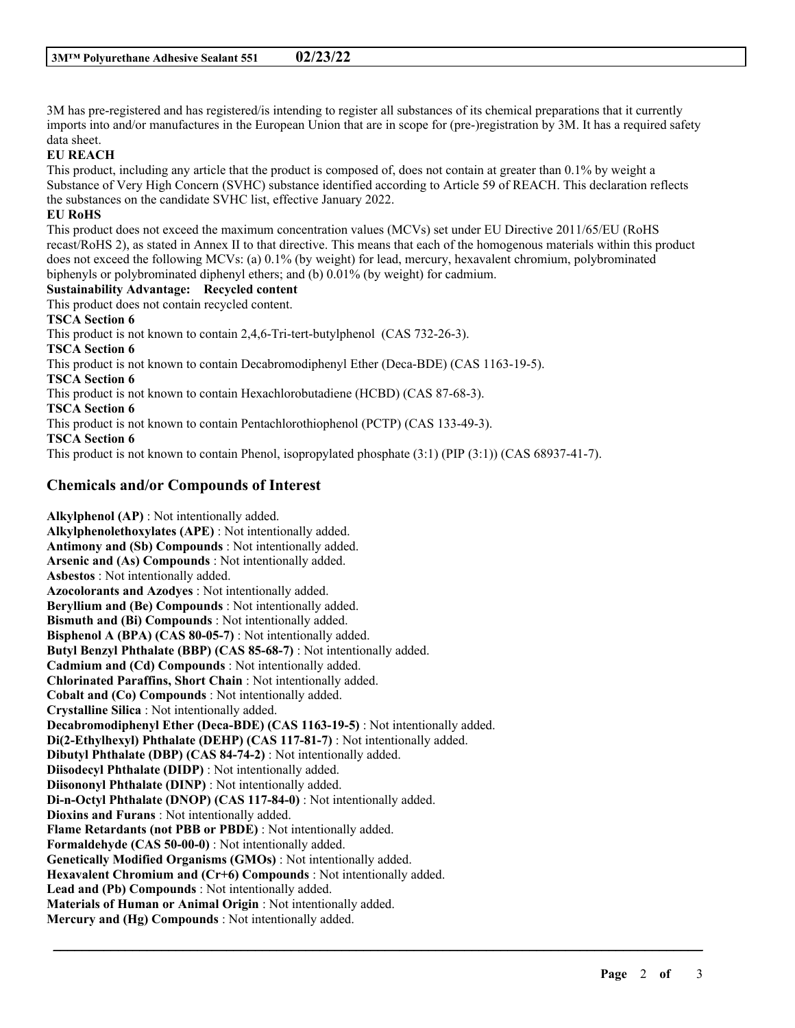3M has pre-registered and has registered/is intending to register all substances of its chemical preparations that it currently imports into and/or manufactures in the European Union that are in scope for (pre-)registration by 3M. It has a required safety data sheet.

#### **EU REACH**

This product, including any article that the product is composed of, does not contain at greater than 0.1% by weight a Substance of Very High Concern (SVHC) substance identified according to Article 59 of REACH. This declaration reflects the substances on the candidate SVHC list, effective January 2022.

#### **EU RoHS**

This product does not exceed the maximum concentration values (MCVs) set under EU Directive 2011/65/EU (RoHS recast/RoHS 2), as stated in Annex II to that directive. This means that each of the homogenous materials within this product does not exceed the following MCVs: (a) 0.1% (by weight) for lead, mercury, hexavalent chromium, polybrominated biphenyls or polybrominated diphenyl ethers; and (b) 0.01% (by weight) for cadmium.

#### **Sustainability Advantage: Recycled content**

This product does not contain recycled content.

#### **TSCA Section 6**

This product is not known to contain 2,4,6-Tri-tert-butylphenol (CAS 732-26-3). **TSCA Section 6** This product is not known to contain Decabromodiphenyl Ether (Deca-BDE) (CAS 1163-19-5). **TSCA Section 6** This product is not known to contain Hexachlorobutadiene (HCBD) (CAS 87-68-3). **TSCA Section 6** This product is not known to contain Pentachlorothiophenol (PCTP) (CAS 133-49-3). **TSCA Section 6**

This product is not known to contain Phenol, isopropylated phosphate (3:1) (PIP (3:1)) (CAS 68937-41-7).

## **Chemicals and/or Compounds of Interest**

**Alkylphenol (AP)** : Not intentionally added. **Alkylphenolethoxylates (APE)** : Not intentionally added. **Antimony and (Sb) Compounds** : Not intentionally added. **Arsenic and (As) Compounds** : Not intentionally added. **Asbestos** : Not intentionally added. **Azocolorants and Azodyes** : Not intentionally added. **Beryllium and (Be) Compounds** : Not intentionally added. **Bismuth and (Bi) Compounds** : Not intentionally added. **Bisphenol A (BPA) (CAS 80-05-7)** : Not intentionally added. **Butyl Benzyl Phthalate (BBP) (CAS 85-68-7)** : Not intentionally added. **Cadmium and (Cd) Compounds** : Not intentionally added. **Chlorinated Paraffins, Short Chain** : Not intentionally added. **Cobalt and (Co) Compounds** : Not intentionally added. **Crystalline Silica** : Not intentionally added. **Decabromodiphenyl Ether (Deca-BDE) (CAS 1163-19-5)** : Not intentionally added. **Di(2-Ethylhexyl) Phthalate (DEHP) (CAS 117-81-7)** : Not intentionally added. **Dibutyl Phthalate (DBP) (CAS 84-74-2)** : Not intentionally added. **Diisodecyl Phthalate (DIDP)** : Not intentionally added. **Diisononyl Phthalate (DINP)** : Not intentionally added. **Di-n-Octyl Phthalate (DNOP) (CAS 117-84-0)** : Not intentionally added. **Dioxins and Furans** : Not intentionally added. **Flame Retardants (not PBB or PBDE)** : Not intentionally added. **Formaldehyde (CAS 50-00-0)** : Not intentionally added. **Genetically Modified Organisms (GMOs)** : Not intentionally added. **Hexavalent Chromium and (Cr+6) Compounds** : Not intentionally added. **Lead and (Pb) Compounds** : Not intentionally added. **Materials of Human or Animal Origin** : Not intentionally added. **Mercury and (Hg) Compounds** : Not intentionally added.

\_\_\_\_\_\_\_\_\_\_\_\_\_\_\_\_\_\_\_\_\_\_\_\_\_\_\_\_\_\_\_\_\_\_\_\_\_\_\_\_\_\_\_\_\_\_\_\_\_\_\_\_\_\_\_\_\_\_\_\_\_\_\_\_\_\_\_\_\_\_\_\_\_\_\_\_\_\_\_\_\_\_\_\_\_\_\_\_\_\_